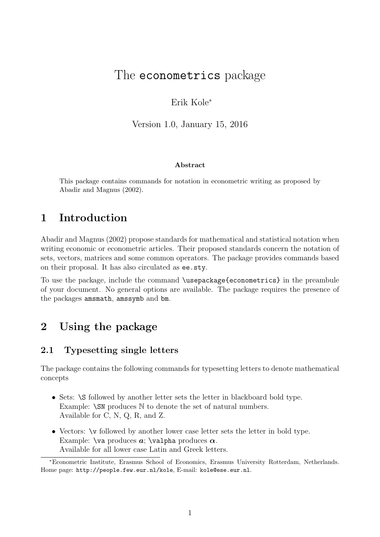# The econometrics package

Erik Kole<sup>∗</sup>

Version 1.0, January 15, 2016

#### Abstract

This package contains commands for notation in econometric writing as proposed by Abadir and Magnus (2002).

# 1 Introduction

Abadir and Magnus (2002) propose standards for mathematical and statistical notation when writing economic or econometric articles. Their proposed standards concern the notation of sets, vectors, matrices and some common operators. The package provides commands based on their proposal. It has also circulated as ee.sty.

To use the package, include the command \usepackage{econometrics} in the preambule of your document. No general options are available. The package requires the presence of the packages amsmath, amssymb and bm.

# 2 Using the package

### 2.1 Typesetting single letters

The package contains the following commands for typesetting letters to denote mathematical concepts

- Sets: \S followed by another letter sets the letter in blackboard bold type. Example: \SN produces  $\mathbb N$  to denote the set of natural numbers. Available for C, N, Q, R, and Z.
- Vectors:  $\vee$  followed by another lower case letter sets the letter in bold type. Example:  $\forall x \in \mathbb{Z}$  is alpha produces  $\alpha$ . Available for all lower case Latin and Greek letters.

<sup>∗</sup>Econometric Institute, Erasmus School of Economics, Erasmus University Rotterdam, Netherlands. Home page: http://people.few.eur.nl/kole, E-mail: kole@ese.eur.nl.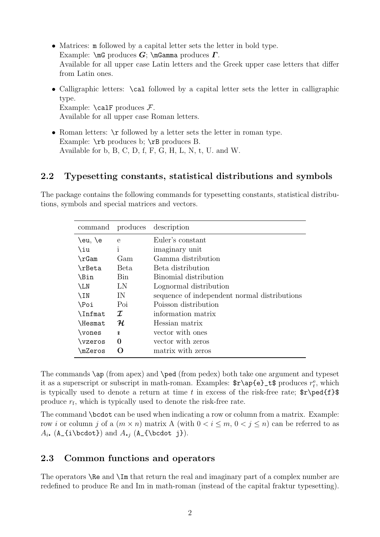- Matrices: m followed by a capital letter sets the letter in bold type. Example:  $\in$  produces  $G$ ;  $\in$  Gamma produces  $\Gamma$ . Available for all upper case Latin letters and the Greek upper case letters that differ from Latin ones.
- Calligraphic letters: \cal followed by a capital letter sets the letter in calligraphic type. Example:  $\cal$ calF produces  $\cal F$ . Available for all upper case Roman letters.
- Roman letters:  $\mathcal{F}$  followed by a letter sets the letter in roman type. Example:  $\mathbf{r}$  produces b;  $\mathbf{r}$  produces B. Available for b, B, C, D, f, F, G, H, L, N, t, U. and W.

### 2.2 Typesetting constants, statistical distributions and symbols

The package contains the following commands for typesetting constants, statistical distributions, symbols and special matrices and vectors.

| command       |              | produces description                         |  |
|---------------|--------------|----------------------------------------------|--|
| $\eu, \e$     | $\mathbf{e}$ | Euler's constant                             |  |
| \iu           | i            | imaginary unit                               |  |
| $\Gamma$      | Gam          | Gamma distribution                           |  |
| \rBeta        | Beta         | Beta distribution                            |  |
| \Bin          | Bin          | Binomial distribution                        |  |
| $\mathcal{L}$ | LN           | Lognormal distribution                       |  |
| \IN           | IN           | sequence of independent normal distributions |  |
| \Poi          | Poi          | Poisson distribution                         |  |
| \Infmat       | $\mathcal I$ | information matrix                           |  |
| \Hesmat       | ${\cal H}$   | Hessian matrix                               |  |
| \vones        | $\mathbf{r}$ | vector with ones                             |  |
| \vzeros       | 0            | vector with zeros                            |  |
| \mZeros       |              | matrix with zeros                            |  |

The commands \ap (from apex) and \ped (from pedex) both take one argument and typeset it as a superscript or subscript in math-roman. Examples:  $\{e\}_t$  produces  $r_t^e$ , which is typically used to denote a return at time t in excess of the risk-free rate;  $r\ped{f}$ produce  $r_f$ , which is typically used to denote the risk-free rate.

The command \bcdot can be used when indicating a row or column from a matrix. Example: row i or column j of a  $(m \times n)$  matrix A (with  $0 < i \leq m$ ,  $0 < j \leq n$ ) can be referred to as  $A_i$ . (A\_{i\bcdot}) and  $A_{i}$  (A\_{\bcdot j}).

### 2.3 Common functions and operators

The operators **\Re** and **\Im** that return the real and imaginary part of a complex number are redefined to produce Re and Im in math-roman (instead of the capital fraktur typesetting).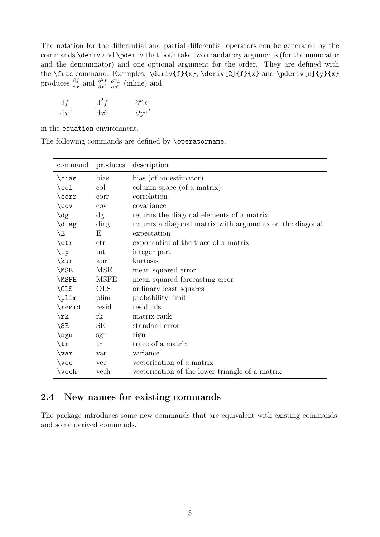The notation for the differential and partial differential operators can be generated by the commands \deriv and \pderiv that both take two mandatory arguments (for the numerator and the denominator) and one optional argument for the order. They are defined with the \frac command. Examples: \deriv{f}{x}, \deriv[2]{f}{x} and \pderiv[n]{y}{x} produces  $\frac{\mathrm{d}f}{\mathrm{d}x}$  and  $\frac{\partial^2 f}{\partial x^2}$  $\overline{\partial x^2}$  $\frac{\partial^n x}{\partial y^n}$  (inline) and

$$
\frac{\mathrm{d}f}{\mathrm{d}x}, \qquad \frac{\mathrm{d}^2f}{\mathrm{d}x^2}, \qquad \frac{\partial^n x}{\partial y^n},
$$

in the equation environment.

The following commands are defined by \operatorname.

| command         | produces    | description                                              |  |
|-----------------|-------------|----------------------------------------------------------|--|
| \bias           | bias        | bias (of an estimator)                                   |  |
| $\setminus$ col | col         | column space (of a matrix)                               |  |
| \corr           | corr        | correlation                                              |  |
| $\cov$          | cov         | covariance                                               |  |
| $\deg$          | dg          | returns the diagonal elements of a matrix                |  |
| \diag           | diag        | returns a diagonal matrix with arguments on the diagonal |  |
| \E              | E           | expectation                                              |  |
| \etr            | etr         | exponential of the trace of a matrix                     |  |
| \ip             | int         | integer part                                             |  |
| \kur            | kur         | kurtosis                                                 |  |
| \MSE            | <b>MSE</b>  | mean squared error                                       |  |
| \MSFE           | <b>MSFE</b> | mean squared forecasting error                           |  |
| \OLS            | <b>OLS</b>  | ordinary least squares                                   |  |
| \plim           | plim        | probability limit                                        |  |
| \resid          | resid       | residuals                                                |  |
| $\chi$          | rk          | matrix rank                                              |  |
| \SE             | SE          | standard error                                           |  |
| \sgn            | sgn         | sign                                                     |  |
| \tr             | tr          | trace of a matrix                                        |  |
| \var            | var         | variance                                                 |  |
| $\vee$          | <b>vec</b>  | vectorisation of a matrix                                |  |
| \vech           | vech        | vectorisation of the lower triangle of a matrix          |  |

## 2.4 New names for existing commands

The package introduces some new commands that are equivalent with existing commands, and some derived commands.